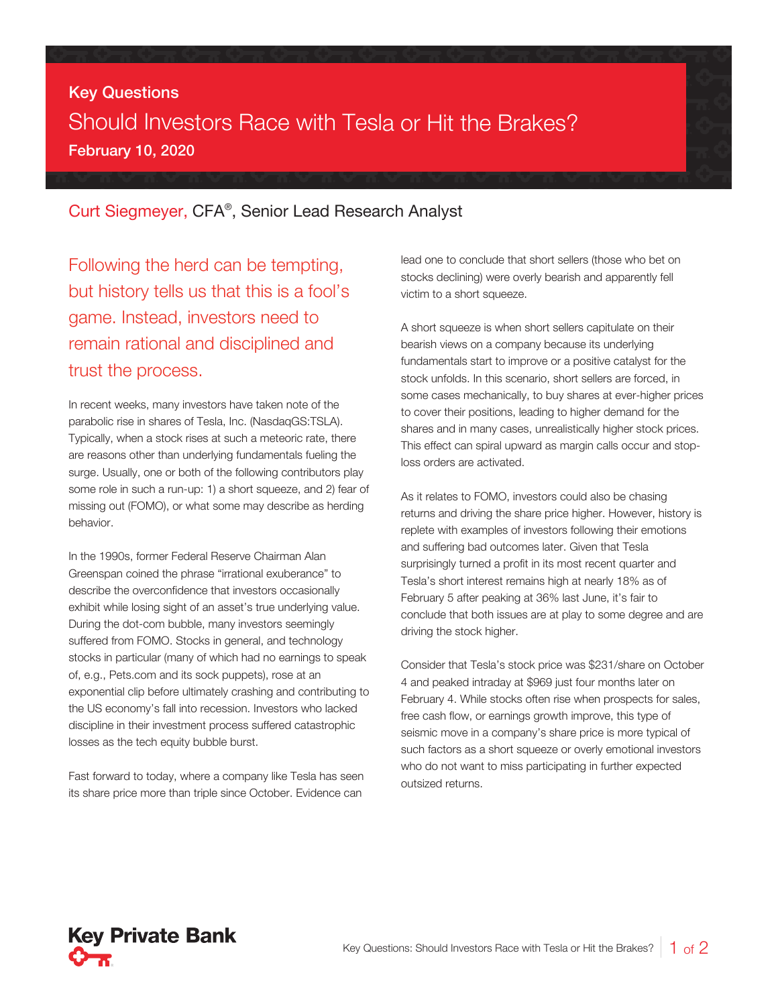## Key Questions Should Investors Race with Tesla or Hit the Brakes? February 10, 2020

## Curt Siegmeyer, CFA® , Senior Lead Research Analyst

Following the herd can be tempting, but history tells us that this is a fool's game. Instead, investors need to remain rational and disciplined and trust the process.

In recent weeks, many investors have taken note of the parabolic rise in shares of Tesla, Inc. (NasdaqGS:TSLA). Typically, when a stock rises at such a meteoric rate, there are reasons other than underlying fundamentals fueling the surge. Usually, one or both of the following contributors play some role in such a run-up: 1) a short squeeze, and 2) fear of missing out (FOMO), or what some may describe as herding behavior.

In the 1990s, former Federal Reserve Chairman Alan Greenspan coined the phrase "irrational exuberance" to describe the overconfidence that investors occasionally exhibit while losing sight of an asset's true underlying value. During the dot-com bubble, many investors seemingly suffered from FOMO. Stocks in general, and technology stocks in particular (many of which had no earnings to speak of, e.g., Pets.com and its sock puppets), rose at an exponential clip before ultimately crashing and contributing to the US economy's fall into recession. Investors who lacked discipline in their investment process suffered catastrophic losses as the tech equity bubble burst.

Fast forward to today, where a company like Tesla has seen its share price more than triple since October. Evidence can

lead one to conclude that short sellers (those who bet on stocks declining) were overly bearish and apparently fell victim to a short squeeze.

A short squeeze is when short sellers capitulate on their bearish views on a company because its underlying fundamentals start to improve or a positive catalyst for the stock unfolds. In this scenario, short sellers are forced, in some cases mechanically, to buy shares at ever-higher prices to cover their positions, leading to higher demand for the shares and in many cases, unrealistically higher stock prices. This effect can spiral upward as margin calls occur and stoploss orders are activated.

As it relates to FOMO, investors could also be chasing returns and driving the share price higher. However, history is replete with examples of investors following their emotions and suffering bad outcomes later. Given that Tesla surprisingly turned a profit in its most recent quarter and Tesla's short interest remains high at nearly 18% as of February 5 after peaking at 36% last June, it's fair to conclude that both issues are at play to some degree and are driving the stock higher.

Consider that Tesla's stock price was \$231/share on October 4 and peaked intraday at \$969 just four months later on February 4. While stocks often rise when prospects for sales, free cash flow, or earnings growth improve, this type of seismic move in a company's share price is more typical of such factors as a short squeeze or overly emotional investors who do not want to miss participating in further expected outsized returns.